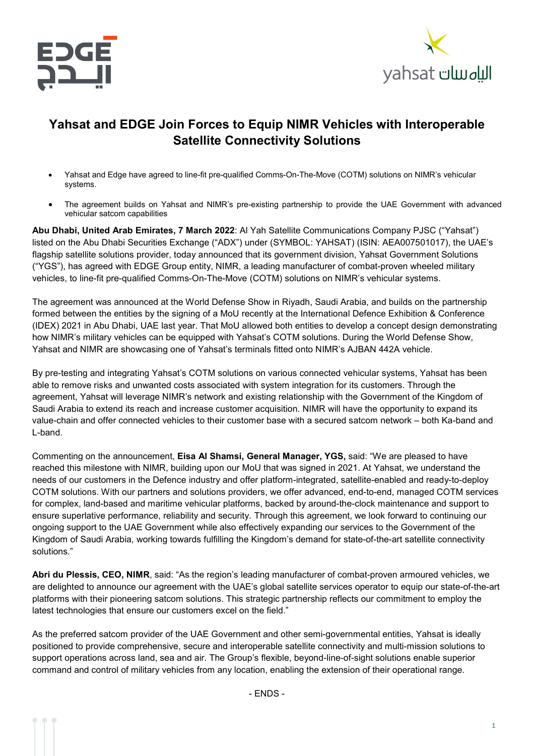



## **Yahsat and EDGE Join Forces to Equip NIMR Vehicles with Interoperable Satellite Connectivity Solutions**

- Yahsat and Edge have agreed to line-fit pre-qualified Comms-On-The-Move (COTM) solutions on NIMR's vehicular systems.
- The agreement builds on Yahsat and NIMR's pre-existing partnership to provide the UAE Government with advanced vehicular satcom capabilities

**Abu Dhabi, United Arab Emirates, 7 March 2022**: Al Yah Satellite Communications Company PJSC ("Yahsat") listed on the Abu Dhabi Securities Exchange ("ADX") under (SYMBOL: YAHSAT) (ISIN: AEA007501017), the UAE's flagship satellite solutions provider, today announced that its government division, Yahsat Government Solutions ("YGS"), has agreed with EDGE Group entity, NIMR, a leading manufacturer of combat-proven wheeled military vehicles, to line-fit pre-qualified Comms-On-The-Move (COTM) solutions on NIMR's vehicular systems.

The agreement was announced at the World Defense Show in Riyadh, Saudi Arabia, and builds on the partnership formed between the entities by the signing of a MoU recently at the International Defence Exhibition & Conference (IDEX) 2021 in Abu Dhabi, UAE last year. That MoU allowed both entities to develop a concept design demonstrating how NIMR's military vehicles can be equipped with Yahsat's COTM solutions. During the World Defense Show, Yahsat and NIMR are showcasing one of Yahsat's terminals fitted onto NIMR's AJBAN 442A vehicle.

By pre-testing and integrating Yahsat's COTM solutions on various connected vehicular systems, Yahsat has been able to remove risks and unwanted costs associated with system integration for its customers. Through the agreement, Yahsat will leverage NIMR's network and existing relationship with the Government of the Kingdom of Saudi Arabia to extend its reach and increase customer acquisition. NIMR will have the opportunity to expand its value-chain and offer connected vehicles to their customer base with a secured satcom network – both Ka-band and L-band.

Commenting on the announcement, **Eisa Al Shamsi, General Manager, YGS,** said: "We are pleased to have reached this milestone with NIMR, building upon our MoU that was signed in 2021. At Yahsat, we understand the needs of our customers in the Defence industry and offer platform-integrated, satellite-enabled and ready-to-deploy COTM solutions. With our partners and solutions providers, we offer advanced, end-to-end, managed COTM services for complex, land-based and maritime vehicular platforms, backed by around-the-clock maintenance and support to ensure superlative performance, reliability and security. Through this agreement, we look forward to continuing our ongoing support to the UAE Government while also effectively expanding our services to the Government of the Kingdom of Saudi Arabia, working towards fulfilling the Kingdom's demand for state-of-the-art satellite connectivity solutions."

**Abri du Plessis, CEO, NIMR**, said: "As the region's leading manufacturer of combat-proven armoured vehicles, we are delighted to announce our agreement with the UAE's global satellite services operator to equip our state-of-the-art platforms with their pioneering satcom solutions. This strategic partnership reflects our commitment to employ the latest technologies that ensure our customers excel on the field."

As the preferred satcom provider of the UAE Government and other semi-governmental entities, Yahsat is ideally positioned to provide comprehensive, secure and interoperable satellite connectivity and multi-mission solutions to support operations across land, sea and air. The Group's flexible, beyond-line-of-sight solutions enable superior command and control of military vehicles from any location, enabling the extension of their operational range.